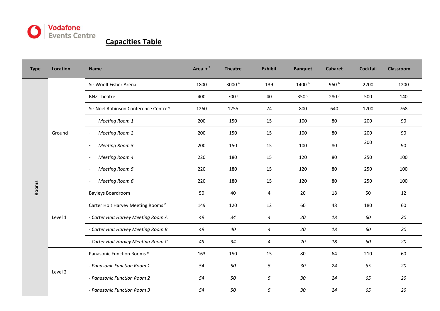

## **Capacities Table**

| <b>Type</b> | <b>Location</b> | <b>Name</b>                                      | Area $m2$ | <b>Theatre</b>    | <b>Exhibit</b>   | <b>Banquet</b>   | <b>Cabaret</b>   | <b>Cocktail</b> | <b>Classroom</b> |
|-------------|-----------------|--------------------------------------------------|-----------|-------------------|------------------|------------------|------------------|-----------------|------------------|
| Rooms       | Ground          | Sir Woolf Fisher Arena                           | 1800      | 3000 <sup>a</sup> | 139              | 1400 b           | 960 b            | 2200            | 1200             |
|             |                 | <b>BNZ Theatre</b>                               | 400       | 700 <sup>c</sup>  | 40               | 350 <sup>d</sup> | 280 <sup>d</sup> | 500             | 140              |
|             |                 | Sir Noel Robinson Conference Centre <sup>e</sup> | 1260      | 1255              | 74               | 800              | 640              | 1200            | 768              |
|             |                 | Meeting Room 1                                   | 200       | 150               | 15               | 100              | 80               | 200             | 90               |
|             |                 | <b>Meeting Room 2</b>                            | 200       | 150               | 15               | 100              | 80               | 200             | 90               |
|             |                 | <b>Meeting Room 3</b>                            | 200       | 150               | 15               | 100              | 80               | 200             | 90               |
|             |                 | <b>Meeting Room 4</b>                            | 220       | 180               | 15               | 120              | 80               | 250             | 100              |
|             |                 | <b>Meeting Room 5</b>                            | 220       | 180               | 15               | 120              | 80               | 250             | 100              |
|             |                 | Meeting Room 6                                   | 220       | 180               | 15               | 120              | 80               | 250             | 100              |
|             | Level 1         | <b>Bayleys Boardroom</b>                         | 50        | 40                | 4                | 20               | 18               | 50              | 12               |
|             |                 | Carter Holt Harvey Meeting Rooms <sup>e</sup>    | 149       | 120               | 12               | 60               | 48               | 180             | 60               |
|             |                 | - Carter Holt Harvey Meeting Room A              | 49        | 34                | $\boldsymbol{4}$ | 20               | 18               | 60              | 20               |
|             |                 | - Carter Holt Harvey Meeting Room B              | 49        | 40                | $\boldsymbol{4}$ | 20               | 18               | 60              | 20               |
|             |                 | - Carter Holt Harvey Meeting Room C              | 49        | 34                | 4                | 20               | 18               | 60              | 20               |
|             | Level 2         | Panasonic Function Rooms <sup>e</sup>            | 163       | 150               | 15               | 80               | 64               | 210             | 60               |
|             |                 | - Panasonic Function Room 1                      | 54        | 50                | 5                | 30               | 24               | 65              | 20               |
|             |                 | - Panasonic Function Room 2                      | 54        | 50                | 5                | 30               | 24               | 65              | 20               |
|             |                 | - Panasonic Function Room 3                      | 54        | 50                | 5                | $30\,$           | 24               | 65              | 20               |